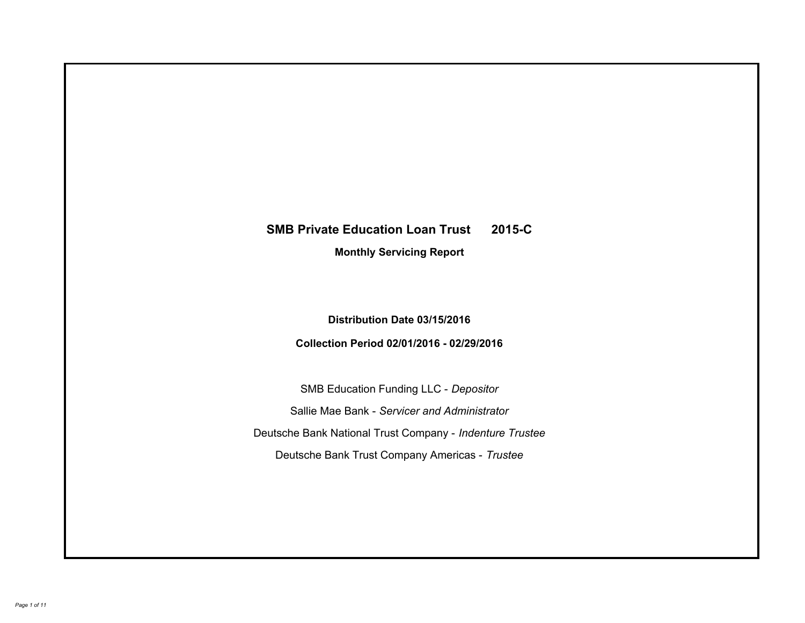# **SMB Private Education Loan Trust 2015-C Monthly Servicing Report**

# **Distribution Date 03/15/2016**

# **Collection Period 02/01/2016 - 02/29/2016**

SMB Education Funding LLC - *Depositor* Sallie Mae Bank - *Servicer and Administrator* Deutsche Bank National Trust Company - *Indenture Trustee* Deutsche Bank Trust Company Americas - *Trustee*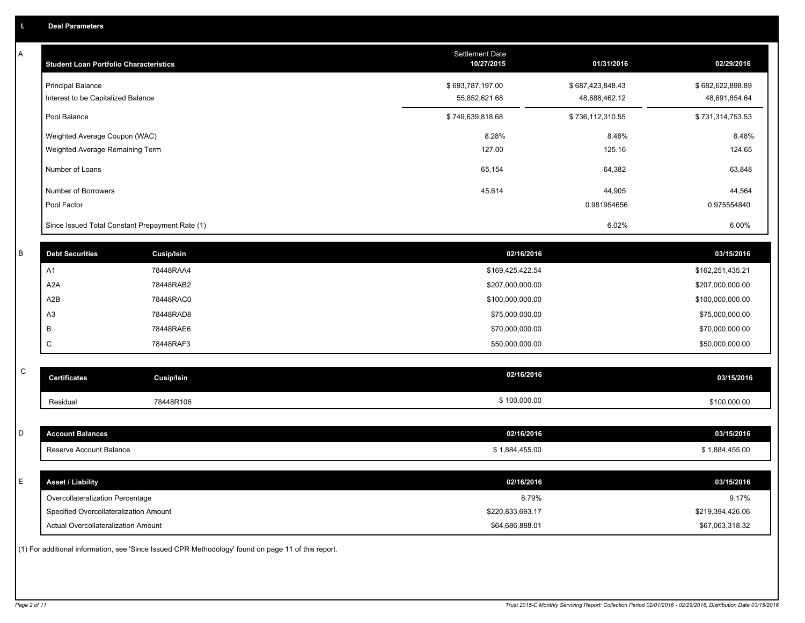A

| Α           | <b>Student Loan Portfolio Characteristics</b>                  |                                                                                                     | Settlement Date<br>10/27/2015     | 01/31/2016                        | 02/29/2016                        |
|-------------|----------------------------------------------------------------|-----------------------------------------------------------------------------------------------------|-----------------------------------|-----------------------------------|-----------------------------------|
|             | <b>Principal Balance</b><br>Interest to be Capitalized Balance |                                                                                                     | \$693,787,197.00<br>55,852,621.68 | \$687,423,848.43<br>48,688,462.12 | \$682,622,898.89<br>48,691,854.64 |
|             | Pool Balance                                                   |                                                                                                     | \$749,639,818.68                  | \$736,112,310.55                  | \$731,314,753.53                  |
|             | Weighted Average Coupon (WAC)                                  |                                                                                                     | 8.28%                             | 8.48%                             | 8.48%                             |
|             | Weighted Average Remaining Term                                |                                                                                                     | 127.00                            | 125.16                            | 124.65                            |
|             | Number of Loans                                                |                                                                                                     | 65,154                            | 64,382                            | 63,848                            |
|             | Number of Borrowers                                            |                                                                                                     | 45,614                            | 44,905                            | 44,564                            |
|             | Pool Factor                                                    |                                                                                                     |                                   | 0.981954656                       | 0.975554840                       |
|             | Since Issued Total Constant Prepayment Rate (1)                |                                                                                                     |                                   | 6.02%                             | 6.00%                             |
| $\sf B$     | <b>Debt Securities</b>                                         | <b>Cusip/Isin</b>                                                                                   | 02/16/2016                        |                                   | 03/15/2016                        |
|             | A <sub>1</sub>                                                 | 78448RAA4                                                                                           | \$169,425,422.54                  |                                   | \$162,251,435.21                  |
|             | A <sub>2</sub> A                                               | 78448RAB2                                                                                           | \$207,000,000.00                  |                                   | \$207,000,000.00                  |
|             | A <sub>2</sub> B                                               | 78448RAC0                                                                                           | \$100,000,000.00                  |                                   | \$100,000,000.00                  |
|             | A <sub>3</sub>                                                 | 78448RAD8                                                                                           | \$75,000,000.00                   |                                   | \$75,000,000.00                   |
|             | В                                                              | 78448RAE6                                                                                           | \$70,000,000.00                   |                                   | \$70,000,000.00                   |
|             | C                                                              | 78448RAF3                                                                                           | \$50,000,000.00                   |                                   | \$50,000,000.00                   |
| $\mathsf C$ | <b>Certificates</b>                                            | <b>Cusip/Isin</b>                                                                                   | 02/16/2016                        |                                   | 03/15/2016                        |
|             |                                                                |                                                                                                     |                                   |                                   |                                   |
|             | Residual                                                       | 78448R106                                                                                           | \$100,000.00                      |                                   | \$100,000.00                      |
| D           | <b>Account Balances</b>                                        |                                                                                                     | 02/16/2016                        |                                   | 03/15/2016                        |
|             |                                                                |                                                                                                     |                                   |                                   |                                   |
|             | Reserve Account Balance                                        |                                                                                                     | \$1,884,455.00                    |                                   | \$1,884,455.00                    |
| E           | <b>Asset / Liability</b>                                       |                                                                                                     | 02/16/2016                        |                                   | 03/15/2016                        |
|             | Overcollateralization Percentage                               |                                                                                                     | 8.79%                             |                                   | 9.17%                             |
|             | Specified Overcollateralization Amount                         |                                                                                                     | \$220,833,693.17                  |                                   | \$219,394,426.06                  |
|             | Actual Overcollateralization Amount                            |                                                                                                     | \$64,686,888.01                   |                                   | \$67,063,318.32                   |
|             |                                                                | (1) For additional information, see 'Since Issued CPR Methodology' found on page 11 of this report. |                                   |                                   |                                   |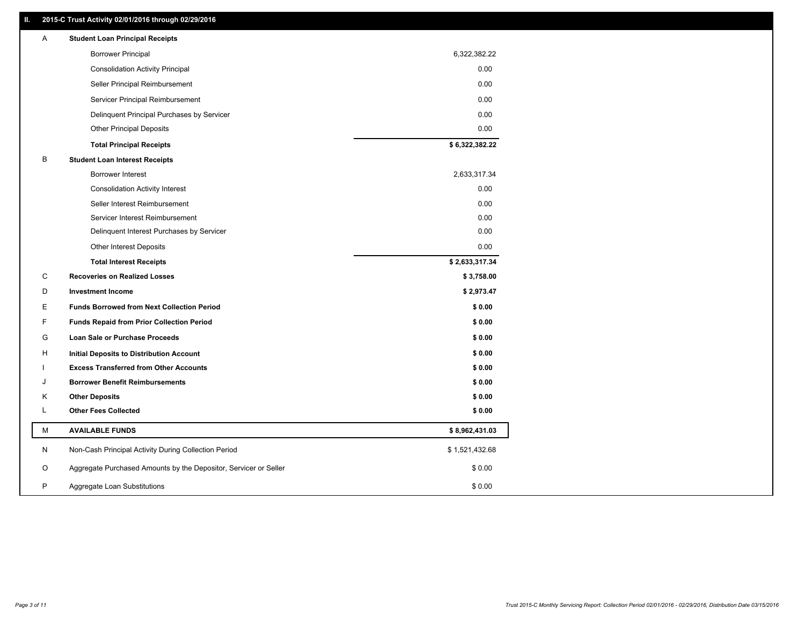### **II. 2015-C Trust Activity 02/01/2016 through 02/29/2016**

| Α | <b>Student Loan Principal Receipts</b>                           |                |  |
|---|------------------------------------------------------------------|----------------|--|
|   | <b>Borrower Principal</b>                                        | 6,322,382.22   |  |
|   | <b>Consolidation Activity Principal</b>                          | 0.00           |  |
|   | Seller Principal Reimbursement                                   | 0.00           |  |
|   | Servicer Principal Reimbursement                                 | 0.00           |  |
|   | Delinquent Principal Purchases by Servicer                       | 0.00           |  |
|   | <b>Other Principal Deposits</b>                                  | 0.00           |  |
|   | <b>Total Principal Receipts</b>                                  | \$6,322,382.22 |  |
| в | <b>Student Loan Interest Receipts</b>                            |                |  |
|   | <b>Borrower Interest</b>                                         | 2,633,317.34   |  |
|   | <b>Consolidation Activity Interest</b>                           | 0.00           |  |
|   | Seller Interest Reimbursement                                    | 0.00           |  |
|   | Servicer Interest Reimbursement                                  | 0.00           |  |
|   | Delinquent Interest Purchases by Servicer                        | 0.00           |  |
|   | Other Interest Deposits                                          | 0.00           |  |
|   | <b>Total Interest Receipts</b>                                   | \$2,633,317.34 |  |
| C | <b>Recoveries on Realized Losses</b>                             | \$3,758.00     |  |
| D | <b>Investment Income</b>                                         | \$2,973.47     |  |
| Ε | <b>Funds Borrowed from Next Collection Period</b>                | \$0.00         |  |
| F | <b>Funds Repaid from Prior Collection Period</b>                 | \$0.00         |  |
| G | Loan Sale or Purchase Proceeds                                   | \$0.00         |  |
| н | Initial Deposits to Distribution Account                         | \$0.00         |  |
|   | <b>Excess Transferred from Other Accounts</b>                    | \$0.00         |  |
| J | <b>Borrower Benefit Reimbursements</b>                           | \$0.00         |  |
| Κ | <b>Other Deposits</b>                                            | \$0.00         |  |
| L | <b>Other Fees Collected</b>                                      | \$0.00         |  |
| М | <b>AVAILABLE FUNDS</b>                                           | \$8,962,431.03 |  |
| N | Non-Cash Principal Activity During Collection Period             | \$1,521,432.68 |  |
| O | Aggregate Purchased Amounts by the Depositor, Servicer or Seller | \$0.00         |  |
| P | Aggregate Loan Substitutions                                     | \$0.00         |  |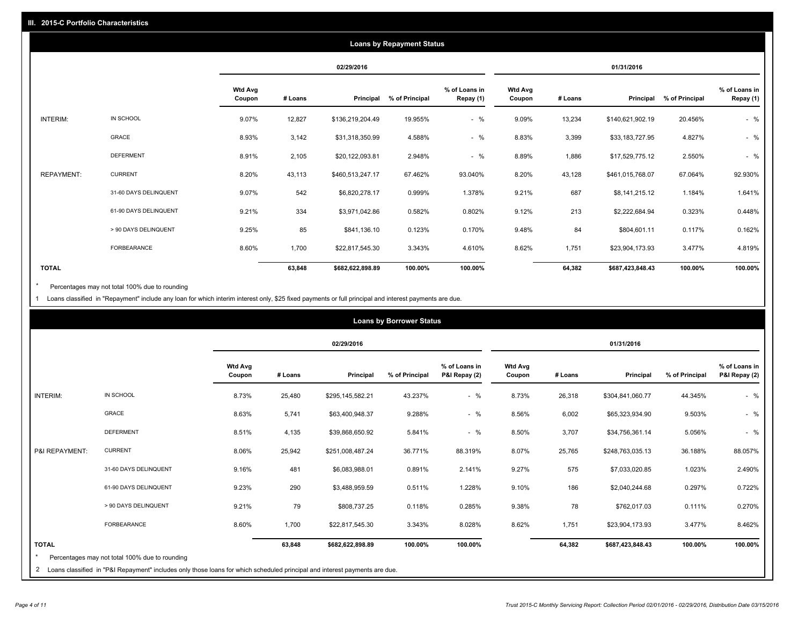|              |                       |                          |         |                  | <b>Loans by Repayment Status</b> |                            |                          |         |                  |                |                            |
|--------------|-----------------------|--------------------------|---------|------------------|----------------------------------|----------------------------|--------------------------|---------|------------------|----------------|----------------------------|
|              |                       |                          |         | 02/29/2016       |                                  |                            |                          |         | 01/31/2016       |                |                            |
|              |                       | <b>Wtd Avg</b><br>Coupon | # Loans | Principal        | % of Principal                   | % of Loans in<br>Repay (1) | <b>Wtd Avg</b><br>Coupon | # Loans | Principal        | % of Principal | % of Loans in<br>Repay (1) |
| INTERIM:     | IN SCHOOL             | 9.07%                    | 12,827  | \$136,219,204.49 | 19.955%                          | $-$ %                      | 9.09%                    | 13,234  | \$140,621,902.19 | 20.456%        | $-$ %                      |
|              | GRACE                 | 8.93%                    | 3,142   | \$31,318,350.99  | 4.588%                           | $-$ %                      | 8.83%                    | 3,399   | \$33,183,727.95  | 4.827%         | $-$ %                      |
|              | <b>DEFERMENT</b>      | 8.91%                    | 2,105   | \$20,122,093.81  | 2.948%                           | $-$ %                      | 8.89%                    | 1,886   | \$17,529,775.12  | 2.550%         | $-$ %                      |
| REPAYMENT:   | <b>CURRENT</b>        | 8.20%                    | 43,113  | \$460,513,247.17 | 67.462%                          | 93.040%                    | 8.20%                    | 43,128  | \$461,015,768.07 | 67.064%        | 92.930%                    |
|              | 31-60 DAYS DELINQUENT | 9.07%                    | 542     | \$6,820,278.17   | 0.999%                           | 1.378%                     | 9.21%                    | 687     | \$8,141,215.12   | 1.184%         | 1.641%                     |
|              | 61-90 DAYS DELINQUENT | 9.21%                    | 334     | \$3,971,042.86   | 0.582%                           | 0.802%                     | 9.12%                    | 213     | \$2,222,684.94   | 0.323%         | 0.448%                     |
|              | > 90 DAYS DELINQUENT  | 9.25%                    | 85      | \$841,136.10     | 0.123%                           | 0.170%                     | 9.48%                    | 84      | \$804,601.11     | 0.117%         | 0.162%                     |
|              | <b>FORBEARANCE</b>    | 8.60%                    | 1,700   | \$22,817,545.30  | 3.343%                           | 4.610%                     | 8.62%                    | 1,751   | \$23,904,173.93  | 3.477%         | 4.819%                     |
| <b>TOTAL</b> |                       |                          | 63,848  | \$682,622,898.89 | 100.00%                          | 100.00%                    |                          | 64,382  | \$687,423,848.43 | 100.00%        | 100.00%                    |

Percentages may not total 100% due to rounding  $^\star$ 

1 Loans classified in "Repayment" include any loan for which interim interest only, \$25 fixed payments or full principal and interest payments are due.

|                 |                                                                                                                                   |                          |         |                  | <b>Loans by Borrower Status</b> |                                |                          |         |                  |                |                                |
|-----------------|-----------------------------------------------------------------------------------------------------------------------------------|--------------------------|---------|------------------|---------------------------------|--------------------------------|--------------------------|---------|------------------|----------------|--------------------------------|
|                 |                                                                                                                                   |                          |         | 02/29/2016       |                                 |                                |                          |         | 01/31/2016       |                |                                |
|                 |                                                                                                                                   | <b>Wtd Avg</b><br>Coupon | # Loans | Principal        | % of Principal                  | % of Loans in<br>P&I Repay (2) | <b>Wtd Avg</b><br>Coupon | # Loans | Principal        | % of Principal | % of Loans in<br>P&I Repay (2) |
| <b>INTERIM:</b> | IN SCHOOL                                                                                                                         | 8.73%                    | 25,480  | \$295,145,582.21 | 43.237%                         | $-$ %                          | 8.73%                    | 26,318  | \$304,841,060.77 | 44.345%        | $-$ %                          |
|                 | GRACE                                                                                                                             | 8.63%                    | 5,741   | \$63,400,948.37  | 9.288%                          | $-$ %                          | 8.56%                    | 6,002   | \$65,323,934.90  | 9.503%         | $-$ %                          |
|                 | <b>DEFERMENT</b>                                                                                                                  | 8.51%                    | 4,135   | \$39,868,650.92  | 5.841%                          | $-$ %                          | 8.50%                    | 3,707   | \$34,756,361.14  | 5.056%         | $-$ %                          |
| P&I REPAYMENT:  | <b>CURRENT</b>                                                                                                                    | 8.06%                    | 25,942  | \$251,008,487.24 | 36.771%                         | 88.319%                        | 8.07%                    | 25,765  | \$248,763,035.13 | 36.188%        | 88.057%                        |
|                 | 31-60 DAYS DELINQUENT                                                                                                             | 9.16%                    | 481     | \$6,083,988.01   | 0.891%                          | 2.141%                         | 9.27%                    | 575     | \$7,033,020.85   | 1.023%         | 2.490%                         |
|                 | 61-90 DAYS DELINQUENT                                                                                                             | 9.23%                    | 290     | \$3,488,959.59   | 0.511%                          | 1.228%                         | 9.10%                    | 186     | \$2,040,244.68   | 0.297%         | 0.722%                         |
|                 | > 90 DAYS DELINQUENT                                                                                                              | 9.21%                    | 79      | \$808,737.25     | 0.118%                          | 0.285%                         | 9.38%                    | 78      | \$762,017.03     | 0.111%         | 0.270%                         |
|                 | FORBEARANCE                                                                                                                       | 8.60%                    | 1,700   | \$22,817,545.30  | 3.343%                          | 8.028%                         | 8.62%                    | 1,751   | \$23,904,173.93  | 3.477%         | 8.462%                         |
| <b>TOTAL</b>    |                                                                                                                                   |                          | 63,848  | \$682,622,898.89 | 100.00%                         | 100.00%                        |                          | 64,382  | \$687,423,848.43 | 100.00%        | 100.00%                        |
|                 | Percentages may not total 100% due to rounding<br>the contract of the contract of the contract of the contract of the contract of |                          |         |                  |                                 |                                |                          |         |                  |                |                                |

2 Loans classified in "P&I Repayment" includes only those loans for which scheduled principal and interest payments are due.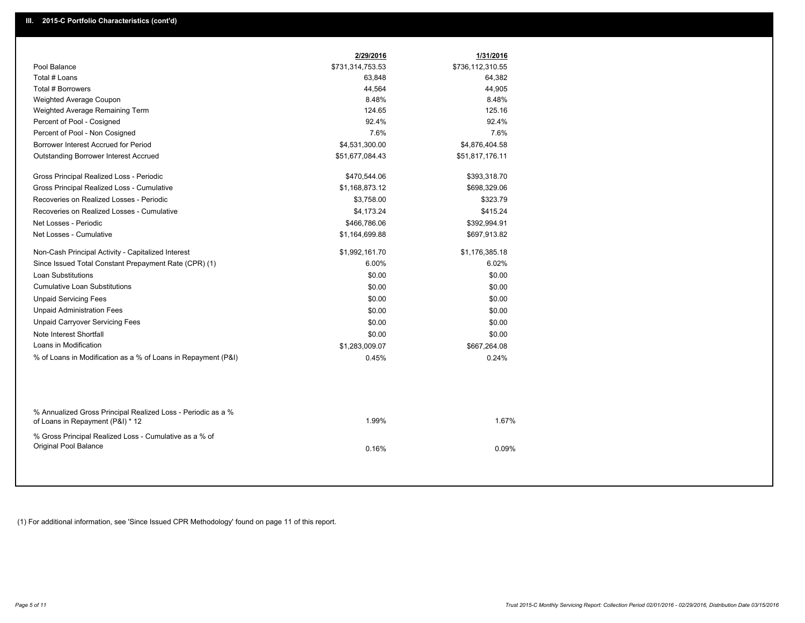| Pool Balance<br>\$731,314,753.53<br>\$736,112,310.55<br>Total # Loans<br>63,848<br>64,382<br>Total # Borrowers<br>44,564<br>44,905<br>8.48%<br>8.48%<br>Weighted Average Coupon<br>124.65<br>125.16<br>Weighted Average Remaining Term<br>92.4%<br>Percent of Pool - Cosigned<br>92.4%<br>7.6%<br>7.6%<br>Percent of Pool - Non Cosigned<br>Borrower Interest Accrued for Period<br>\$4,531,300.00<br>\$4,876,404.58<br><b>Outstanding Borrower Interest Accrued</b><br>\$51,677,084.43<br>\$51,817,176.11<br>Gross Principal Realized Loss - Periodic<br>\$470,544.06<br>\$393,318.70<br>Gross Principal Realized Loss - Cumulative<br>\$1,168,873.12<br>\$698,329.06<br>Recoveries on Realized Losses - Periodic<br>\$3,758.00<br>\$323.79<br>Recoveries on Realized Losses - Cumulative<br>\$4,173.24<br>\$415.24<br>Net Losses - Periodic<br>\$466,786.06<br>\$392,994.91<br>Net Losses - Cumulative<br>\$1,164,699.88<br>\$697,913.82<br>\$1,992,161.70<br>\$1,176,385.18<br>Non-Cash Principal Activity - Capitalized Interest<br>6.00%<br>6.02%<br>Since Issued Total Constant Prepayment Rate (CPR) (1)<br>Loan Substitutions<br>\$0.00<br>\$0.00<br><b>Cumulative Loan Substitutions</b><br>\$0.00<br>\$0.00<br><b>Unpaid Servicing Fees</b><br>\$0.00<br>\$0.00<br><b>Unpaid Administration Fees</b><br>\$0.00<br>\$0.00<br><b>Unpaid Carryover Servicing Fees</b><br>\$0.00<br>\$0.00<br>Note Interest Shortfall<br>\$0.00<br>\$0.00<br>Loans in Modification<br>\$1,283,009.07<br>\$667,264.08<br>% of Loans in Modification as a % of Loans in Repayment (P&I)<br>0.24%<br>0.45%<br>% Annualized Gross Principal Realized Loss - Periodic as a %<br>1.99%<br>1.67%<br>of Loans in Repayment (P&I) * 12<br>% Gross Principal Realized Loss - Cumulative as a % of<br>Original Pool Balance<br>0.16%<br>0.09% | 2/29/2016 | 1/31/2016 |
|--------------------------------------------------------------------------------------------------------------------------------------------------------------------------------------------------------------------------------------------------------------------------------------------------------------------------------------------------------------------------------------------------------------------------------------------------------------------------------------------------------------------------------------------------------------------------------------------------------------------------------------------------------------------------------------------------------------------------------------------------------------------------------------------------------------------------------------------------------------------------------------------------------------------------------------------------------------------------------------------------------------------------------------------------------------------------------------------------------------------------------------------------------------------------------------------------------------------------------------------------------------------------------------------------------------------------------------------------------------------------------------------------------------------------------------------------------------------------------------------------------------------------------------------------------------------------------------------------------------------------------------------------------------------------------------------------------------------------------------------------------------------------------------------------------------------------|-----------|-----------|
|                                                                                                                                                                                                                                                                                                                                                                                                                                                                                                                                                                                                                                                                                                                                                                                                                                                                                                                                                                                                                                                                                                                                                                                                                                                                                                                                                                                                                                                                                                                                                                                                                                                                                                                                                                                                                          |           |           |
|                                                                                                                                                                                                                                                                                                                                                                                                                                                                                                                                                                                                                                                                                                                                                                                                                                                                                                                                                                                                                                                                                                                                                                                                                                                                                                                                                                                                                                                                                                                                                                                                                                                                                                                                                                                                                          |           |           |
|                                                                                                                                                                                                                                                                                                                                                                                                                                                                                                                                                                                                                                                                                                                                                                                                                                                                                                                                                                                                                                                                                                                                                                                                                                                                                                                                                                                                                                                                                                                                                                                                                                                                                                                                                                                                                          |           |           |
|                                                                                                                                                                                                                                                                                                                                                                                                                                                                                                                                                                                                                                                                                                                                                                                                                                                                                                                                                                                                                                                                                                                                                                                                                                                                                                                                                                                                                                                                                                                                                                                                                                                                                                                                                                                                                          |           |           |
|                                                                                                                                                                                                                                                                                                                                                                                                                                                                                                                                                                                                                                                                                                                                                                                                                                                                                                                                                                                                                                                                                                                                                                                                                                                                                                                                                                                                                                                                                                                                                                                                                                                                                                                                                                                                                          |           |           |
|                                                                                                                                                                                                                                                                                                                                                                                                                                                                                                                                                                                                                                                                                                                                                                                                                                                                                                                                                                                                                                                                                                                                                                                                                                                                                                                                                                                                                                                                                                                                                                                                                                                                                                                                                                                                                          |           |           |
|                                                                                                                                                                                                                                                                                                                                                                                                                                                                                                                                                                                                                                                                                                                                                                                                                                                                                                                                                                                                                                                                                                                                                                                                                                                                                                                                                                                                                                                                                                                                                                                                                                                                                                                                                                                                                          |           |           |
|                                                                                                                                                                                                                                                                                                                                                                                                                                                                                                                                                                                                                                                                                                                                                                                                                                                                                                                                                                                                                                                                                                                                                                                                                                                                                                                                                                                                                                                                                                                                                                                                                                                                                                                                                                                                                          |           |           |
|                                                                                                                                                                                                                                                                                                                                                                                                                                                                                                                                                                                                                                                                                                                                                                                                                                                                                                                                                                                                                                                                                                                                                                                                                                                                                                                                                                                                                                                                                                                                                                                                                                                                                                                                                                                                                          |           |           |
|                                                                                                                                                                                                                                                                                                                                                                                                                                                                                                                                                                                                                                                                                                                                                                                                                                                                                                                                                                                                                                                                                                                                                                                                                                                                                                                                                                                                                                                                                                                                                                                                                                                                                                                                                                                                                          |           |           |
|                                                                                                                                                                                                                                                                                                                                                                                                                                                                                                                                                                                                                                                                                                                                                                                                                                                                                                                                                                                                                                                                                                                                                                                                                                                                                                                                                                                                                                                                                                                                                                                                                                                                                                                                                                                                                          |           |           |
|                                                                                                                                                                                                                                                                                                                                                                                                                                                                                                                                                                                                                                                                                                                                                                                                                                                                                                                                                                                                                                                                                                                                                                                                                                                                                                                                                                                                                                                                                                                                                                                                                                                                                                                                                                                                                          |           |           |
|                                                                                                                                                                                                                                                                                                                                                                                                                                                                                                                                                                                                                                                                                                                                                                                                                                                                                                                                                                                                                                                                                                                                                                                                                                                                                                                                                                                                                                                                                                                                                                                                                                                                                                                                                                                                                          |           |           |
|                                                                                                                                                                                                                                                                                                                                                                                                                                                                                                                                                                                                                                                                                                                                                                                                                                                                                                                                                                                                                                                                                                                                                                                                                                                                                                                                                                                                                                                                                                                                                                                                                                                                                                                                                                                                                          |           |           |
|                                                                                                                                                                                                                                                                                                                                                                                                                                                                                                                                                                                                                                                                                                                                                                                                                                                                                                                                                                                                                                                                                                                                                                                                                                                                                                                                                                                                                                                                                                                                                                                                                                                                                                                                                                                                                          |           |           |
|                                                                                                                                                                                                                                                                                                                                                                                                                                                                                                                                                                                                                                                                                                                                                                                                                                                                                                                                                                                                                                                                                                                                                                                                                                                                                                                                                                                                                                                                                                                                                                                                                                                                                                                                                                                                                          |           |           |
|                                                                                                                                                                                                                                                                                                                                                                                                                                                                                                                                                                                                                                                                                                                                                                                                                                                                                                                                                                                                                                                                                                                                                                                                                                                                                                                                                                                                                                                                                                                                                                                                                                                                                                                                                                                                                          |           |           |
|                                                                                                                                                                                                                                                                                                                                                                                                                                                                                                                                                                                                                                                                                                                                                                                                                                                                                                                                                                                                                                                                                                                                                                                                                                                                                                                                                                                                                                                                                                                                                                                                                                                                                                                                                                                                                          |           |           |
|                                                                                                                                                                                                                                                                                                                                                                                                                                                                                                                                                                                                                                                                                                                                                                                                                                                                                                                                                                                                                                                                                                                                                                                                                                                                                                                                                                                                                                                                                                                                                                                                                                                                                                                                                                                                                          |           |           |
|                                                                                                                                                                                                                                                                                                                                                                                                                                                                                                                                                                                                                                                                                                                                                                                                                                                                                                                                                                                                                                                                                                                                                                                                                                                                                                                                                                                                                                                                                                                                                                                                                                                                                                                                                                                                                          |           |           |
|                                                                                                                                                                                                                                                                                                                                                                                                                                                                                                                                                                                                                                                                                                                                                                                                                                                                                                                                                                                                                                                                                                                                                                                                                                                                                                                                                                                                                                                                                                                                                                                                                                                                                                                                                                                                                          |           |           |
|                                                                                                                                                                                                                                                                                                                                                                                                                                                                                                                                                                                                                                                                                                                                                                                                                                                                                                                                                                                                                                                                                                                                                                                                                                                                                                                                                                                                                                                                                                                                                                                                                                                                                                                                                                                                                          |           |           |
|                                                                                                                                                                                                                                                                                                                                                                                                                                                                                                                                                                                                                                                                                                                                                                                                                                                                                                                                                                                                                                                                                                                                                                                                                                                                                                                                                                                                                                                                                                                                                                                                                                                                                                                                                                                                                          |           |           |
|                                                                                                                                                                                                                                                                                                                                                                                                                                                                                                                                                                                                                                                                                                                                                                                                                                                                                                                                                                                                                                                                                                                                                                                                                                                                                                                                                                                                                                                                                                                                                                                                                                                                                                                                                                                                                          |           |           |
|                                                                                                                                                                                                                                                                                                                                                                                                                                                                                                                                                                                                                                                                                                                                                                                                                                                                                                                                                                                                                                                                                                                                                                                                                                                                                                                                                                                                                                                                                                                                                                                                                                                                                                                                                                                                                          |           |           |
|                                                                                                                                                                                                                                                                                                                                                                                                                                                                                                                                                                                                                                                                                                                                                                                                                                                                                                                                                                                                                                                                                                                                                                                                                                                                                                                                                                                                                                                                                                                                                                                                                                                                                                                                                                                                                          |           |           |
|                                                                                                                                                                                                                                                                                                                                                                                                                                                                                                                                                                                                                                                                                                                                                                                                                                                                                                                                                                                                                                                                                                                                                                                                                                                                                                                                                                                                                                                                                                                                                                                                                                                                                                                                                                                                                          |           |           |
|                                                                                                                                                                                                                                                                                                                                                                                                                                                                                                                                                                                                                                                                                                                                                                                                                                                                                                                                                                                                                                                                                                                                                                                                                                                                                                                                                                                                                                                                                                                                                                                                                                                                                                                                                                                                                          |           |           |

(1) For additional information, see 'Since Issued CPR Methodology' found on page 11 of this report.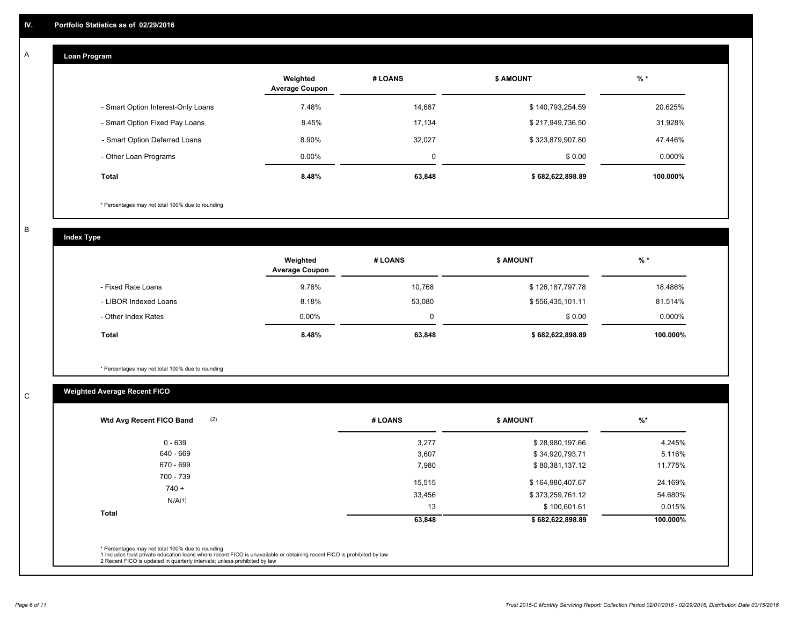#### **Loan Program**  A

|                                    | Weighted<br><b>Average Coupon</b> | # LOANS     | <b>\$ AMOUNT</b> | $%$ *     |
|------------------------------------|-----------------------------------|-------------|------------------|-----------|
| - Smart Option Interest-Only Loans | 7.48%                             | 14.687      | \$140,793,254.59 | 20.625%   |
| - Smart Option Fixed Pay Loans     | 8.45%                             | 17,134      | \$217,949,736.50 | 31.928%   |
| - Smart Option Deferred Loans      | 8.90%                             | 32.027      | \$323,879,907.80 | 47.446%   |
| - Other Loan Programs              | $0.00\%$                          | $\mathbf 0$ | \$0.00           | $0.000\%$ |
| Total                              | 8.48%                             | 63,848      | \$682,622,898.89 | 100.000%  |

\* Percentages may not total 100% due to rounding

B

C

**Index Type**

|                       | Weighted<br><b>Average Coupon</b> | # LOANS | \$ AMOUNT        | % *       |
|-----------------------|-----------------------------------|---------|------------------|-----------|
| - Fixed Rate Loans    | 9.78%                             | 10.768  | \$126,187,797.78 | 18.486%   |
| - LIBOR Indexed Loans | 8.18%                             | 53,080  | \$556,435,101.11 | 81.514%   |
| - Other Index Rates   | $0.00\%$                          | 0       | \$0.00           | $0.000\%$ |
| <b>Total</b>          | 8.48%                             | 63,848  | \$682,622,898.89 | 100.000%  |

\* Percentages may not total 100% due to rounding

## **Weighted Average Recent FICO**

| Wtd Avg Recent FICO Band       | (2) | # LOANS          | <b>\$ AMOUNT</b>                     | $%$ *              |
|--------------------------------|-----|------------------|--------------------------------------|--------------------|
| $0 - 639$                      |     | 3,277            | \$28,980,197.66                      | 4.245%             |
| 640 - 669                      |     | 3,607            | \$34,920,793.71                      | 5.116%             |
| 670 - 699                      |     | 7,980            | \$80,381,137.12                      | 11.775%            |
| 700 - 739<br>$740 +$<br>N/A(1) |     | 15,515<br>33,456 | \$164,980,407.67<br>\$373,259,761.12 | 24.169%<br>54.680% |
| Total                          |     | 13<br>63,848     | \$100,601.61<br>\$682,622,898.89     | 0.015%<br>100.000% |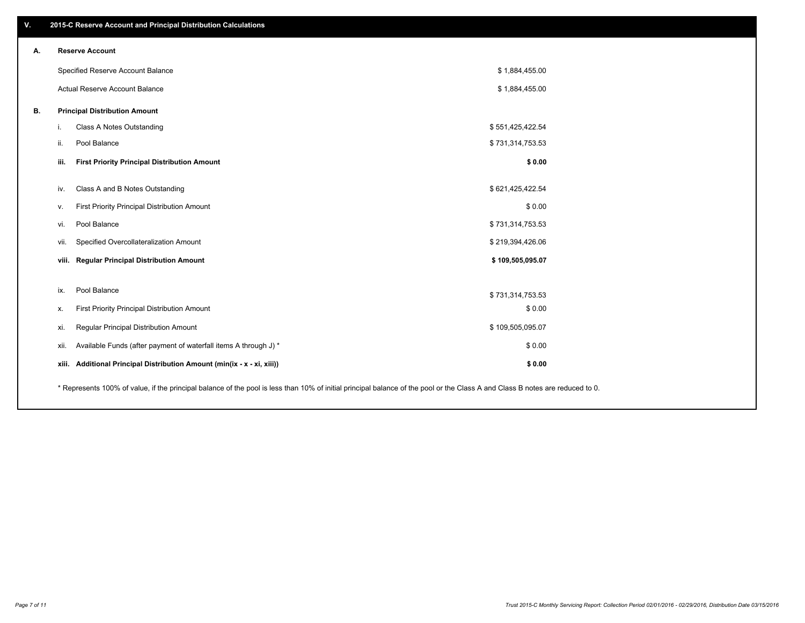| V. | 2015-C Reserve Account and Principal Distribution Calculations                                                                                                                |                  |  |
|----|-------------------------------------------------------------------------------------------------------------------------------------------------------------------------------|------------------|--|
| А. | <b>Reserve Account</b>                                                                                                                                                        |                  |  |
|    | Specified Reserve Account Balance                                                                                                                                             | \$1,884,455.00   |  |
|    | Actual Reserve Account Balance                                                                                                                                                | \$1,884,455.00   |  |
| В. | <b>Principal Distribution Amount</b>                                                                                                                                          |                  |  |
|    | Class A Notes Outstanding<br>Ι.                                                                                                                                               | \$551,425,422.54 |  |
|    | Pool Balance<br>ii.                                                                                                                                                           | \$731,314,753.53 |  |
|    | iii.<br><b>First Priority Principal Distribution Amount</b>                                                                                                                   | \$0.00           |  |
|    | Class A and B Notes Outstanding<br>iv.                                                                                                                                        | \$621,425,422.54 |  |
|    | First Priority Principal Distribution Amount<br>v.                                                                                                                            | \$0.00           |  |
|    | Pool Balance<br>vi.                                                                                                                                                           | \$731,314,753.53 |  |
|    | Specified Overcollateralization Amount<br>vii.                                                                                                                                | \$219,394,426.06 |  |
|    | viii. Regular Principal Distribution Amount                                                                                                                                   | \$109,505,095.07 |  |
|    |                                                                                                                                                                               |                  |  |
|    | Pool Balance<br>ix.                                                                                                                                                           | \$731,314,753.53 |  |
|    | First Priority Principal Distribution Amount<br>х.                                                                                                                            | \$0.00           |  |
|    | Regular Principal Distribution Amount<br>xi.                                                                                                                                  | \$109,505,095.07 |  |
|    | Available Funds (after payment of waterfall items A through J) *<br>xii.                                                                                                      | \$0.00           |  |
|    | xiii. Additional Principal Distribution Amount (min(ix - x - xi, xiii))                                                                                                       | \$0.00           |  |
|    | * Represents 100% of value, if the principal balance of the pool is less than 10% of initial principal balance of the pool or the Class A and Class B notes are reduced to 0. |                  |  |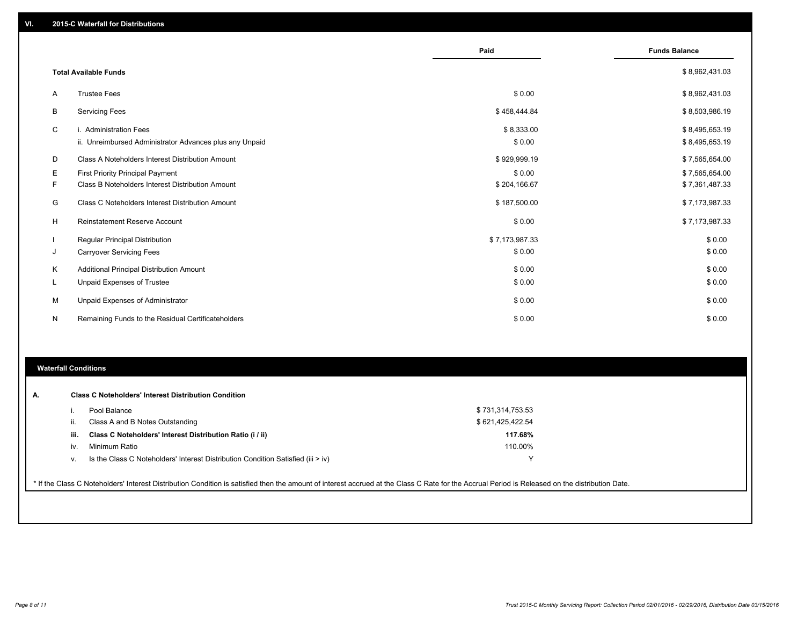|    |                                                                                   | Paid                 | <b>Funds Balance</b>             |
|----|-----------------------------------------------------------------------------------|----------------------|----------------------------------|
|    | <b>Total Available Funds</b>                                                      |                      | \$8,962,431.03                   |
| A  | <b>Trustee Fees</b>                                                               | \$0.00               | \$8,962,431.03                   |
| B  | <b>Servicing Fees</b>                                                             | \$458,444.84         | \$8,503,986.19                   |
| C  | i. Administration Fees<br>ii. Unreimbursed Administrator Advances plus any Unpaid | \$8,333.00<br>\$0.00 | \$8,495,653.19<br>\$8,495,653.19 |
| D  | Class A Noteholders Interest Distribution Amount                                  | \$929,999.19         | \$7,565,654.00                   |
| Е  | <b>First Priority Principal Payment</b>                                           | \$0.00               | \$7,565,654.00                   |
| F  | Class B Noteholders Interest Distribution Amount                                  | \$204,166.67         | \$7,361,487.33                   |
| G  | Class C Noteholders Interest Distribution Amount                                  | \$187,500.00         | \$7,173,987.33                   |
| н  | <b>Reinstatement Reserve Account</b>                                              | \$0.00               | \$7,173,987.33                   |
|    | <b>Regular Principal Distribution</b>                                             | \$7,173,987.33       | \$0.00                           |
| J  | <b>Carryover Servicing Fees</b>                                                   | \$0.00               | \$0.00                           |
| K  | Additional Principal Distribution Amount                                          | \$0.00               | \$0.00                           |
| L. | Unpaid Expenses of Trustee                                                        | \$0.00               | \$0.00                           |
| М  | Unpaid Expenses of Administrator                                                  | \$0.00               | \$0.00                           |
| N  | Remaining Funds to the Residual Certificateholders                                | \$0.00               | \$0.00                           |

### **Waterfall Conditions**

|      | Pool Balance                                                                     | \$731,314,753.53 |  |
|------|----------------------------------------------------------------------------------|------------------|--|
| н.   | Class A and B Notes Outstanding                                                  | \$621,425,422.54 |  |
| iii. | Class C Noteholders' Interest Distribution Ratio (i / ii)                        | 117.68%          |  |
| iv.  | Minimum Ratio                                                                    | 110.00%          |  |
| ν.   | Is the Class C Noteholders' Interest Distribution Condition Satisfied (iii > iv) |                  |  |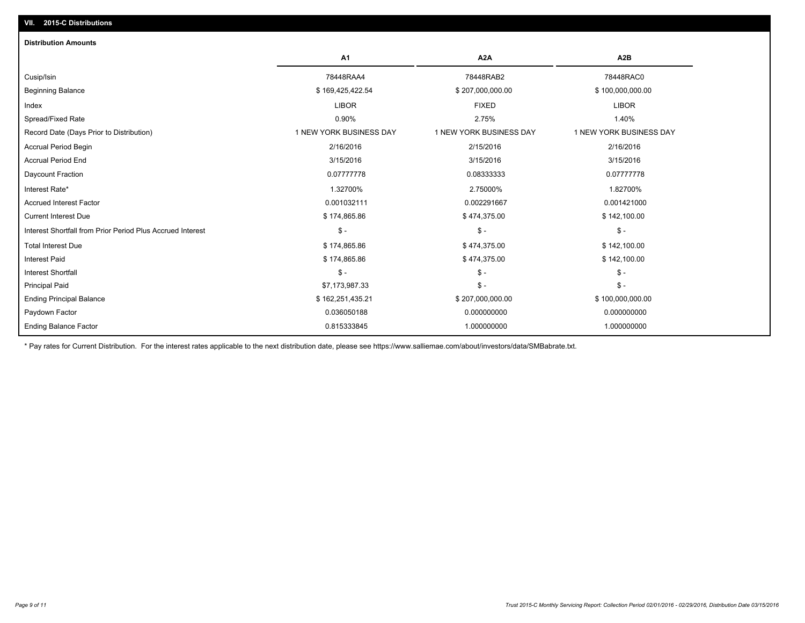| <b>Distribution Amounts</b>                                |                         |                         |                         |
|------------------------------------------------------------|-------------------------|-------------------------|-------------------------|
|                                                            | <b>A1</b>               | A <sub>2</sub> A        | A <sub>2</sub> B        |
| Cusip/Isin                                                 | 78448RAA4               | 78448RAB2               | 78448RAC0               |
| <b>Beginning Balance</b>                                   | \$169,425,422.54        | \$207,000,000.00        | \$100,000,000.00        |
| Index                                                      | <b>LIBOR</b>            | <b>FIXED</b>            | <b>LIBOR</b>            |
| Spread/Fixed Rate                                          | 0.90%                   | 2.75%                   | 1.40%                   |
| Record Date (Days Prior to Distribution)                   | 1 NEW YORK BUSINESS DAY | 1 NEW YORK BUSINESS DAY | 1 NEW YORK BUSINESS DAY |
| <b>Accrual Period Begin</b>                                | 2/16/2016               | 2/15/2016               | 2/16/2016               |
| <b>Accrual Period End</b>                                  | 3/15/2016               | 3/15/2016               | 3/15/2016               |
| Daycount Fraction                                          | 0.07777778              | 0.08333333              | 0.07777778              |
| Interest Rate*                                             | 1.32700%                | 2.75000%                | 1.82700%                |
| <b>Accrued Interest Factor</b>                             | 0.001032111             | 0.002291667             | 0.001421000             |
| <b>Current Interest Due</b>                                | \$174,865.86            | \$474,375.00            | \$142,100.00            |
| Interest Shortfall from Prior Period Plus Accrued Interest | $\mathsf{\$}$ -         | $\frac{1}{2}$           | $S -$                   |
| <b>Total Interest Due</b>                                  | \$174,865.86            | \$474,375.00            | \$142,100.00            |
| <b>Interest Paid</b>                                       | \$174,865.86            | \$474,375.00            | \$142,100.00            |
| <b>Interest Shortfall</b>                                  | $\mathsf{\$}$ -         | $\mathsf{\$}$ -         | $S -$                   |
| <b>Principal Paid</b>                                      | \$7,173,987.33          | $\frac{2}{3}$ -         | $S -$                   |
| <b>Ending Principal Balance</b>                            | \$162,251,435.21        | \$207,000,000.00        | \$100,000,000.00        |
| Paydown Factor                                             | 0.036050188             | 0.000000000             | 0.000000000             |
| <b>Ending Balance Factor</b>                               | 0.815333845             | 1.000000000             | 1.000000000             |
|                                                            |                         |                         |                         |

\* Pay rates for Current Distribution. For the interest rates applicable to the next distribution date, please see https://www.salliemae.com/about/investors/data/SMBabrate.txt.

**VII. 2015-C Distributions**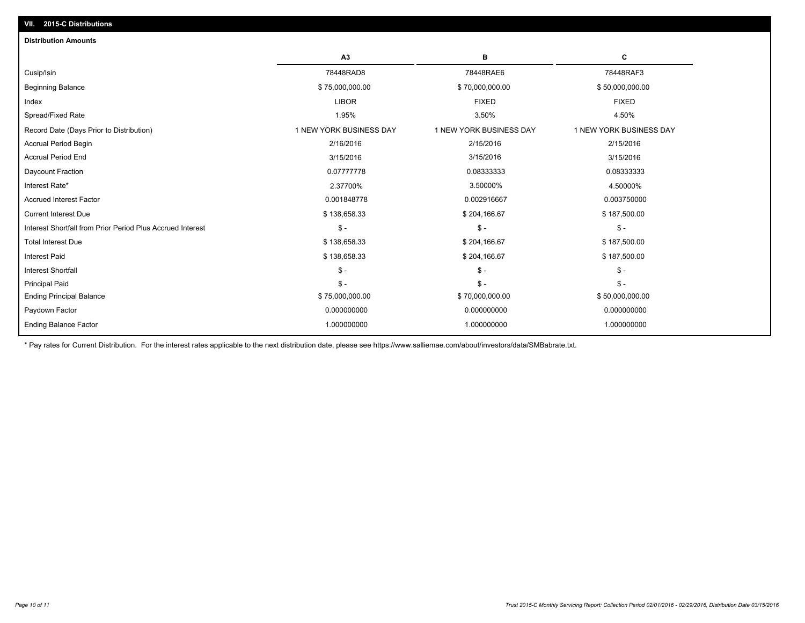| <b>Distribution Amounts</b>                                |                         |                         |                         |
|------------------------------------------------------------|-------------------------|-------------------------|-------------------------|
|                                                            | A <sub>3</sub>          | в                       | c                       |
| Cusip/Isin                                                 | 78448RAD8               | 78448RAE6               | 78448RAF3               |
| <b>Beginning Balance</b>                                   | \$75,000,000.00         | \$70,000,000.00         | \$50,000,000.00         |
| Index                                                      | <b>LIBOR</b>            | <b>FIXED</b>            | <b>FIXED</b>            |
| Spread/Fixed Rate                                          | 1.95%                   | 3.50%                   | 4.50%                   |
| Record Date (Days Prior to Distribution)                   | 1 NEW YORK BUSINESS DAY | 1 NEW YORK BUSINESS DAY | 1 NEW YORK BUSINESS DAY |
| <b>Accrual Period Begin</b>                                | 2/16/2016               | 2/15/2016               | 2/15/2016               |
| <b>Accrual Period End</b>                                  | 3/15/2016               | 3/15/2016               | 3/15/2016               |
| Daycount Fraction                                          | 0.07777778              | 0.08333333              | 0.08333333              |
| Interest Rate*                                             | 2.37700%                | 3.50000%                | 4.50000%                |
| <b>Accrued Interest Factor</b>                             | 0.001848778             | 0.002916667             | 0.003750000             |
| <b>Current Interest Due</b>                                | \$138,658.33            | \$204,166.67            | \$187,500.00            |
| Interest Shortfall from Prior Period Plus Accrued Interest | $\mathsf{\$}$ -         | $\mathsf{\$}$ -         | $\mathsf{\$}$ -         |
| <b>Total Interest Due</b>                                  | \$138,658.33            | \$204,166.67            | \$187,500.00            |
| <b>Interest Paid</b>                                       | \$138,658.33            | \$204,166.67            | \$187,500.00            |
| <b>Interest Shortfall</b>                                  | $\frac{1}{2}$           | $\mathsf{\$}$ -         | $\mathbb{S}$ -          |
| <b>Principal Paid</b>                                      | $S -$                   | $\mathsf{\$}$ -         | $S -$                   |
| <b>Ending Principal Balance</b>                            | \$75,000,000.00         | \$70,000,000.00         | \$50,000,000.00         |
| Paydown Factor                                             | 0.000000000             | 0.000000000             | 0.000000000             |
| Ending Balance Factor                                      | 1.000000000             | 1.000000000             | 1.000000000             |
|                                                            |                         |                         |                         |

\* Pay rates for Current Distribution. For the interest rates applicable to the next distribution date, please see https://www.salliemae.com/about/investors/data/SMBabrate.txt.

**VII. 2015-C Distributions**